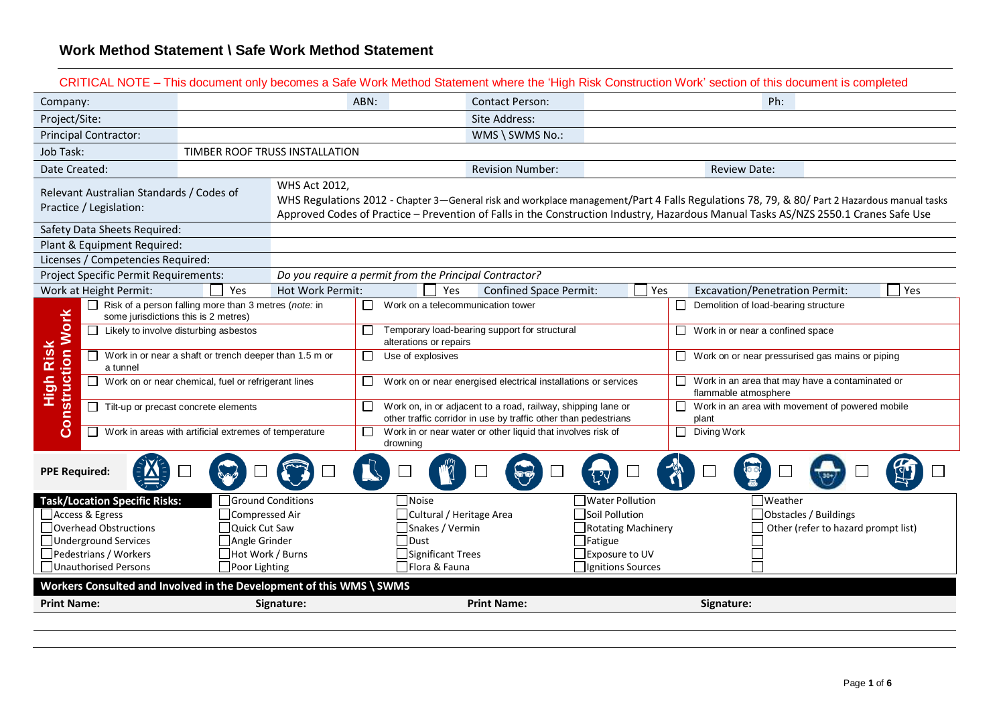| CRITICAL NOTE – This document only becomes a Safe Work Method Statement where the 'High Risk Construction Work' section of this document is completed |                                                              |                          |                             |                                                                                                                                                                                                                                                                                    |                                      |     |                                                                               |                                                        |     |
|-------------------------------------------------------------------------------------------------------------------------------------------------------|--------------------------------------------------------------|--------------------------|-----------------------------|------------------------------------------------------------------------------------------------------------------------------------------------------------------------------------------------------------------------------------------------------------------------------------|--------------------------------------|-----|-------------------------------------------------------------------------------|--------------------------------------------------------|-----|
| Company:                                                                                                                                              |                                                              |                          | ABN:                        | <b>Contact Person:</b>                                                                                                                                                                                                                                                             |                                      |     |                                                                               | Ph:                                                    |     |
| Project/Site:                                                                                                                                         |                                                              |                          |                             | Site Address:                                                                                                                                                                                                                                                                      |                                      |     |                                                                               |                                                        |     |
| <b>Principal Contractor:</b>                                                                                                                          |                                                              |                          |                             | WMS \ SWMS No.:                                                                                                                                                                                                                                                                    |                                      |     |                                                                               |                                                        |     |
| Job Task:                                                                                                                                             | TIMBER ROOF TRUSS INSTALLATION                               |                          |                             |                                                                                                                                                                                                                                                                                    |                                      |     |                                                                               |                                                        |     |
| Date Created:                                                                                                                                         |                                                              |                          |                             | <b>Revision Number:</b>                                                                                                                                                                                                                                                            |                                      |     | <b>Review Date:</b>                                                           |                                                        |     |
| Relevant Australian Standards / Codes of<br>Practice / Legislation:                                                                                   |                                                              | <b>WHS Act 2012,</b>     |                             | WHS Regulations 2012 - Chapter 3—General risk and workplace management/Part 4 Falls Regulations 78, 79, & 80/ Part 2 Hazardous manual tasks<br>Approved Codes of Practice - Prevention of Falls in the Construction Industry, Hazardous Manual Tasks AS/NZS 2550.1 Cranes Safe Use |                                      |     |                                                                               |                                                        |     |
| Safety Data Sheets Required:                                                                                                                          |                                                              |                          |                             |                                                                                                                                                                                                                                                                                    |                                      |     |                                                                               |                                                        |     |
| Plant & Equipment Required:                                                                                                                           |                                                              |                          |                             |                                                                                                                                                                                                                                                                                    |                                      |     |                                                                               |                                                        |     |
| Licenses / Competencies Required:                                                                                                                     |                                                              |                          |                             |                                                                                                                                                                                                                                                                                    |                                      |     |                                                                               |                                                        |     |
| Project Specific Permit Requirements:                                                                                                                 |                                                              |                          |                             | Do you require a permit from the Principal Contractor?                                                                                                                                                                                                                             |                                      |     |                                                                               |                                                        |     |
| Work at Height Permit:<br>$\Box$                                                                                                                      | Yes<br>Risk of a person falling more than 3 metres (note: in | Hot Work Permit:         | U                           | Yes<br>Work on a telecommunication tower                                                                                                                                                                                                                                           | <b>Confined Space Permit:</b>        | Yes | <b>Excavation/Penetration Permit:</b><br>Demolition of load-bearing structure |                                                        | Yes |
|                                                                                                                                                       | some jurisdictions this is 2 metres)                         |                          |                             |                                                                                                                                                                                                                                                                                    |                                      |     |                                                                               |                                                        |     |
| struction Work                                                                                                                                        | Likely to involve disturbing asbestos                        |                          | ⊔<br>alterations or repairs | Temporary load-bearing support for structural                                                                                                                                                                                                                                      |                                      |     | $\Box$ Work in or near a confined space                                       |                                                        |     |
| High Risk<br>a tunnel                                                                                                                                 | Work in or near a shaft or trench deeper than 1.5 m or       |                          | $\Box$<br>Use of explosives |                                                                                                                                                                                                                                                                                    |                                      |     |                                                                               | $\Box$ Work on or near pressurised gas mains or piping |     |
|                                                                                                                                                       | Work on or near chemical, fuel or refrigerant lines          |                          | $\Box$                      | Work on or near energised electrical installations or services                                                                                                                                                                                                                     |                                      |     | flammable atmosphere                                                          | $\Box$ Work in an area that may have a contaminated or |     |
| Con                                                                                                                                                   | Tilt-up or precast concrete elements                         |                          | П                           | Work on, in or adjacent to a road, railway, shipping lane or<br>other traffic corridor in use by traffic other than pedestrians                                                                                                                                                    |                                      |     | plant                                                                         | $\Box$ Work in an area with movement of powered mobile |     |
|                                                                                                                                                       | Work in areas with artificial extremes of temperature        |                          | $\Box$<br>drowning          | Work in or near water or other liquid that involves risk of                                                                                                                                                                                                                        |                                      |     | $\Box$ Diving Work                                                            |                                                        |     |
| <b>PPE Required:</b>                                                                                                                                  |                                                              |                          |                             |                                                                                                                                                                                                                                                                                    |                                      |     |                                                                               |                                                        |     |
| <b>Task/Location Specific Risks:</b>                                                                                                                  |                                                              | <b>Ground Conditions</b> | Noise                       |                                                                                                                                                                                                                                                                                    | <b>Water Pollution</b>               |     |                                                                               | Weather                                                |     |
| Access & Egress                                                                                                                                       | Compressed Air                                               |                          |                             | Cultural / Heritage Area                                                                                                                                                                                                                                                           | Soil Pollution                       |     |                                                                               | Obstacles / Buildings                                  |     |
| Overhead Obstructions<br>Underground Services                                                                                                         | Quick Cut Saw<br>Angle Grinder                               |                          | $\Box$ Dust                 | Snakes / Vermin                                                                                                                                                                                                                                                                    | Rotating Machinery<br>$\Box$ Fatigue |     |                                                                               | Other (refer to hazard prompt list)                    |     |
| Pedestrians / Workers                                                                                                                                 | Hot Work / Burns                                             |                          |                             | Significant Trees                                                                                                                                                                                                                                                                  | Exposure to UV                       |     |                                                                               |                                                        |     |
| Unauthorised Persons                                                                                                                                  | $\Box$ Poor Lighting                                         |                          |                             | Flora & Fauna                                                                                                                                                                                                                                                                      | □ Ignitions Sources                  |     |                                                                               |                                                        |     |
| Workers Consulted and Involved in the Development of this WMS \ SWMS                                                                                  |                                                              |                          |                             |                                                                                                                                                                                                                                                                                    |                                      |     |                                                                               |                                                        |     |
| <b>Print Name:</b>                                                                                                                                    |                                                              | Signature:               |                             | <b>Print Name:</b>                                                                                                                                                                                                                                                                 |                                      |     | Signature:                                                                    |                                                        |     |
|                                                                                                                                                       |                                                              |                          |                             |                                                                                                                                                                                                                                                                                    |                                      |     |                                                                               |                                                        |     |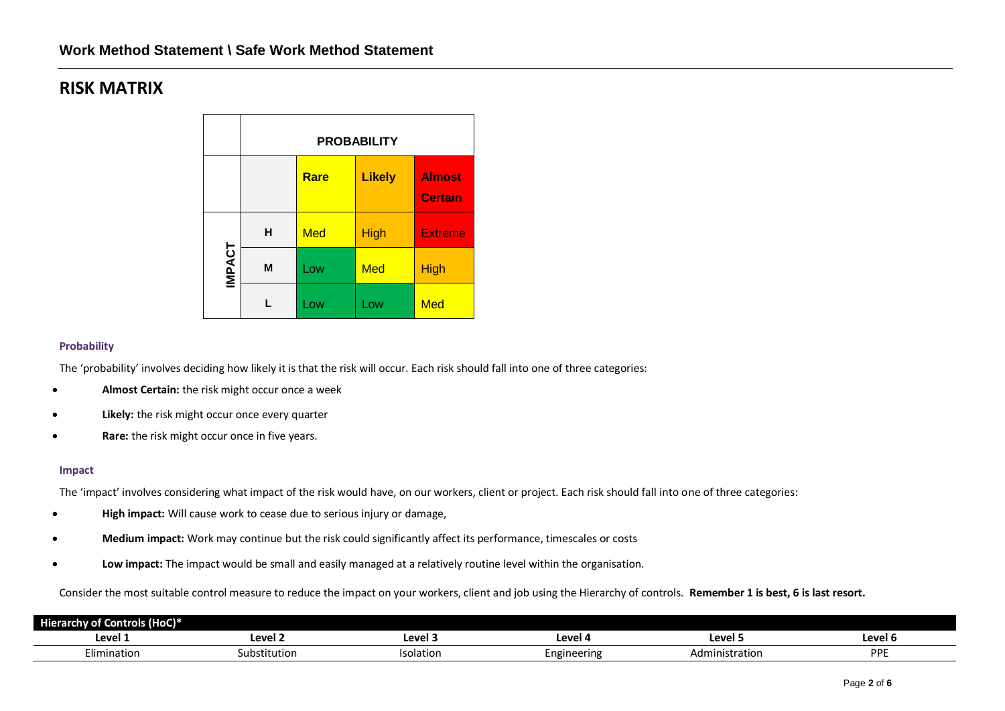# **RISK MATRIX**

|               | <b>PROBABILITY</b> |            |               |                                 |  |  |  |
|---------------|--------------------|------------|---------------|---------------------------------|--|--|--|
|               |                    | Rare       | <b>Likely</b> | <b>Almost</b><br><b>Certain</b> |  |  |  |
|               | н                  | <b>Med</b> | High          | <b>Extreme</b>                  |  |  |  |
| <b>IMPACT</b> | M                  | Low        | <b>Med</b>    | <b>High</b>                     |  |  |  |
|               |                    | Low        | Low           | <b>Med</b>                      |  |  |  |

## **Probability**

The 'probability' involves deciding how likely it is that the risk will occur. Each risk should fall into one of three categories:

- **Almost Certain:** the risk might occur once a week
- **Likely:** the risk might occur once every quarter
- **Rare:** the risk might occur once in five years.

#### **Impact**

The 'impact' involves considering what impact of the risk would have, on our workers, client or project. Each risk should fall into one of three categories:

- **High impact:** Will cause work to cease due to serious injury or damage,
- **Medium impact:** Work may continue but the risk could significantly affect its performance, timescales or costs
- **Low impact:** The impact would be small and easily managed at a relatively routine level within the organisation.

Consider the most suitable control measure to reduce the impact on your workers, client and job using the Hierarchy of controls. **Remember 1 is best, 6 is last resort.**

| Controls (HoC)*<br><b>Hierarchy of Co</b> |              |                  |                  |                |            |
|-------------------------------------------|--------------|------------------|------------------|----------------|------------|
| Level 1                                   | Level 2      | Level 3          | ומווח '<br>LEVEI | Level !        | Level 6    |
| - 1<br>Elimination                        | Substitution | <b>Isolation</b> | Engineering      | Administration | <b>DDF</b> |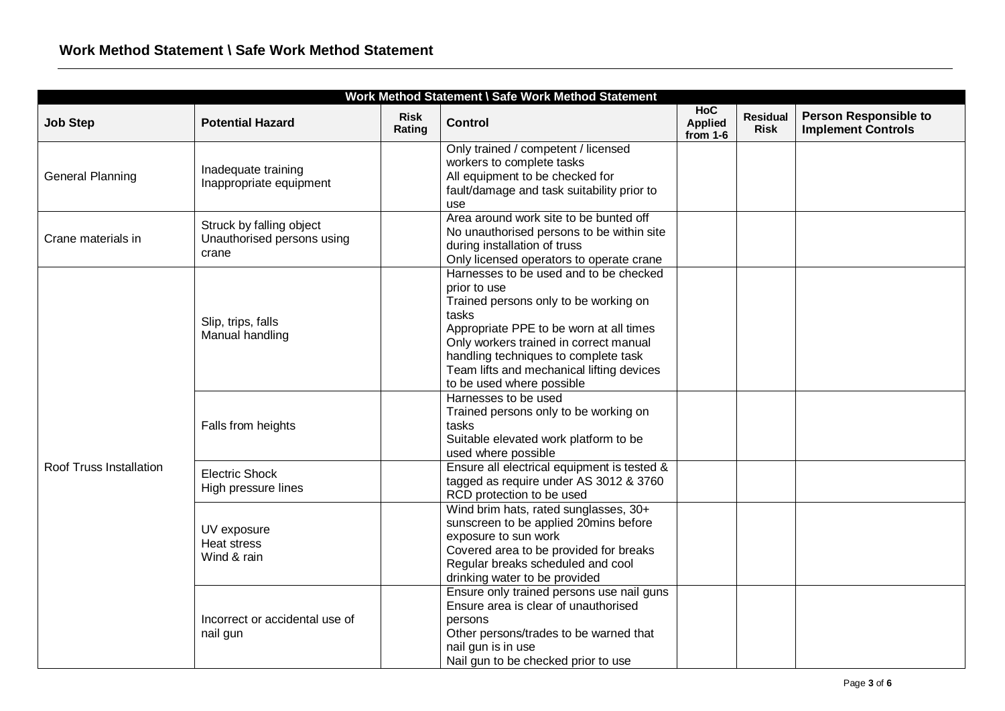| Work Method Statement \ Safe Work Method Statement |                                                                 |                       |                                                                                                                                                                                                                                                                                                                 |                                            |                                |                                                           |  |
|----------------------------------------------------|-----------------------------------------------------------------|-----------------------|-----------------------------------------------------------------------------------------------------------------------------------------------------------------------------------------------------------------------------------------------------------------------------------------------------------------|--------------------------------------------|--------------------------------|-----------------------------------------------------------|--|
| <b>Job Step</b>                                    | <b>Potential Hazard</b>                                         | <b>Risk</b><br>Rating | <b>Control</b>                                                                                                                                                                                                                                                                                                  | <b>HoC</b><br><b>Applied</b><br>from $1-6$ | <b>Residual</b><br><b>Risk</b> | <b>Person Responsible to</b><br><b>Implement Controls</b> |  |
| <b>General Planning</b>                            | Inadequate training<br>Inappropriate equipment                  |                       | Only trained / competent / licensed<br>workers to complete tasks<br>All equipment to be checked for<br>fault/damage and task suitability prior to<br>use                                                                                                                                                        |                                            |                                |                                                           |  |
| Crane materials in                                 | Struck by falling object<br>Unauthorised persons using<br>crane |                       | Area around work site to be bunted off<br>No unauthorised persons to be within site<br>during installation of truss<br>Only licensed operators to operate crane                                                                                                                                                 |                                            |                                |                                                           |  |
|                                                    | Slip, trips, falls<br>Manual handling                           |                       | Harnesses to be used and to be checked<br>prior to use<br>Trained persons only to be working on<br>tasks<br>Appropriate PPE to be worn at all times<br>Only workers trained in correct manual<br>handling techniques to complete task<br>Team lifts and mechanical lifting devices<br>to be used where possible |                                            |                                |                                                           |  |
|                                                    | Falls from heights                                              |                       | Harnesses to be used<br>Trained persons only to be working on<br>tasks<br>Suitable elevated work platform to be<br>used where possible                                                                                                                                                                          |                                            |                                |                                                           |  |
| Roof Truss Installation                            | <b>Electric Shock</b><br>High pressure lines                    |                       | Ensure all electrical equipment is tested &<br>tagged as require under AS 3012 & 3760<br>RCD protection to be used                                                                                                                                                                                              |                                            |                                |                                                           |  |
|                                                    | UV exposure<br>Heat stress<br>Wind & rain                       |                       | Wind brim hats, rated sunglasses, 30+<br>sunscreen to be applied 20mins before<br>exposure to sun work<br>Covered area to be provided for breaks<br>Regular breaks scheduled and cool<br>drinking water to be provided                                                                                          |                                            |                                |                                                           |  |
|                                                    | Incorrect or accidental use of<br>nail gun                      |                       | Ensure only trained persons use nail guns<br>Ensure area is clear of unauthorised<br>persons<br>Other persons/trades to be warned that<br>nail gun is in use<br>Nail gun to be checked prior to use                                                                                                             |                                            |                                |                                                           |  |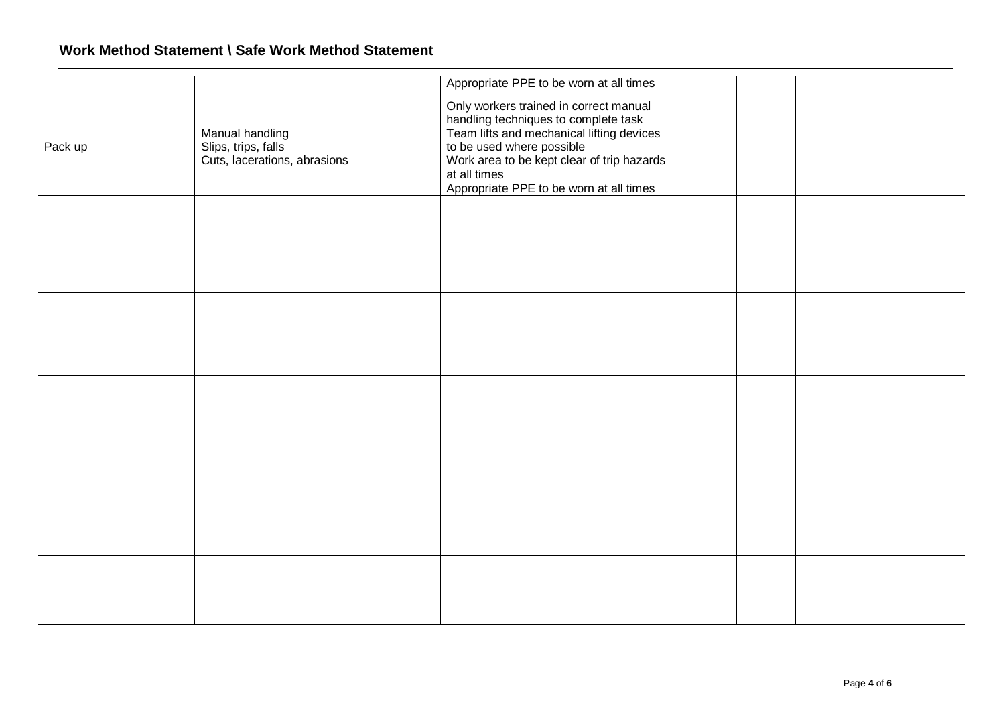## **Work Method Statement \ Safe Work Method Statement**

|         |                                                                        | Appropriate PPE to be worn at all times                                                                                                                                                                                                                           |  |  |
|---------|------------------------------------------------------------------------|-------------------------------------------------------------------------------------------------------------------------------------------------------------------------------------------------------------------------------------------------------------------|--|--|
| Pack up | Manual handling<br>Slips, trips, falls<br>Cuts, lacerations, abrasions | Only workers trained in correct manual<br>handling techniques to complete task<br>Team lifts and mechanical lifting devices<br>to be used where possible<br>Work area to be kept clear of trip hazards<br>at all times<br>Appropriate PPE to be worn at all times |  |  |
|         |                                                                        |                                                                                                                                                                                                                                                                   |  |  |
|         |                                                                        |                                                                                                                                                                                                                                                                   |  |  |
|         |                                                                        |                                                                                                                                                                                                                                                                   |  |  |
|         |                                                                        |                                                                                                                                                                                                                                                                   |  |  |
|         |                                                                        |                                                                                                                                                                                                                                                                   |  |  |
|         |                                                                        |                                                                                                                                                                                                                                                                   |  |  |
|         |                                                                        |                                                                                                                                                                                                                                                                   |  |  |
|         |                                                                        |                                                                                                                                                                                                                                                                   |  |  |
|         |                                                                        |                                                                                                                                                                                                                                                                   |  |  |
|         |                                                                        |                                                                                                                                                                                                                                                                   |  |  |
|         |                                                                        |                                                                                                                                                                                                                                                                   |  |  |
|         |                                                                        |                                                                                                                                                                                                                                                                   |  |  |
|         |                                                                        |                                                                                                                                                                                                                                                                   |  |  |
|         |                                                                        |                                                                                                                                                                                                                                                                   |  |  |
|         |                                                                        |                                                                                                                                                                                                                                                                   |  |  |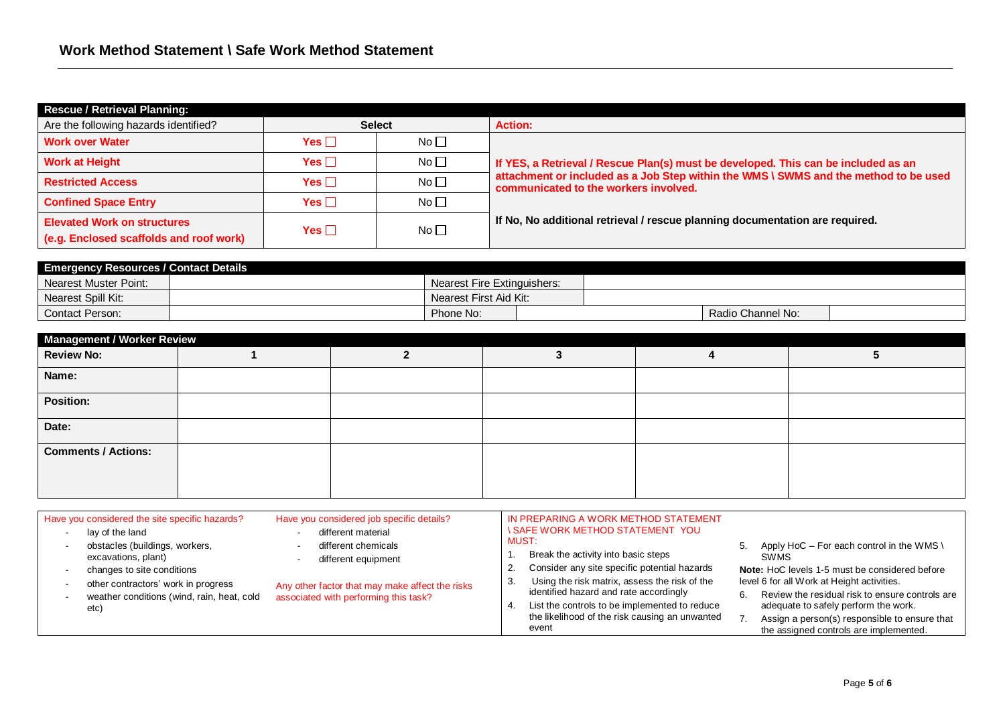| <b>Rescue / Retrieval Planning:</b>     |               |                 |                                                                                                                               |
|-----------------------------------------|---------------|-----------------|-------------------------------------------------------------------------------------------------------------------------------|
| Are the following hazards identified?   | <b>Select</b> |                 | <b>Action:</b>                                                                                                                |
| <b>Work over Water</b>                  | Yes $\Box$    | No              |                                                                                                                               |
| <b>Work at Height</b>                   | Yes $\Box$    | No <sub>1</sub> | If YES, a Retrieval / Rescue Plan(s) must be developed. This can be included as an                                            |
| <b>Restricted Access</b>                | Yes $\Box$    | No              | attachment or included as a Job Step within the WMS \ SWMS and the method to be used<br>communicated to the workers involved. |
| <b>Confined Space Entry</b>             | Yes $\Box$    | No              |                                                                                                                               |
| <b>Elevated Work on structures</b>      | Yes $\Box$    | No              | If No, No additional retrieval / rescue planning documentation are required.                                                  |
| (e.g. Enclosed scaffolds and roof work) |               |                 |                                                                                                                               |

| <b>Emergency Resources / Contact Details</b> |  |                                    |  |  |                   |  |
|----------------------------------------------|--|------------------------------------|--|--|-------------------|--|
| Nearest Muster Point:                        |  | <b>Nearest Fire Extinguishers:</b> |  |  |                   |  |
| Nearest Spill Kit:                           |  | Nearest First Aid Kit:             |  |  |                   |  |
| <b>Contact Person:</b>                       |  | Phone No:                          |  |  | Radio Channel No: |  |

| Management / Worker Review |  |  |  |  |  |  |  |  |
|----------------------------|--|--|--|--|--|--|--|--|
| <b>Review No:</b>          |  |  |  |  |  |  |  |  |
| Name:                      |  |  |  |  |  |  |  |  |
| Position:                  |  |  |  |  |  |  |  |  |
| Date:                      |  |  |  |  |  |  |  |  |
| <b>Comments / Actions:</b> |  |  |  |  |  |  |  |  |
|                            |  |  |  |  |  |  |  |  |

| different material<br>lay of the land<br>obstacles (buildings, workers,<br>different chemicals<br>excavations, plant)<br>different equipment<br>changes to site conditions<br>3.<br>other contractors' work in progress<br>Any other factor that may make affect the risks<br>weather conditions (wind, rain, heat, cold<br>associated with performing this task?<br>etc) | <b>ISAFE WORK METHOD STATEMENT YOU</b><br><b>MUST:</b><br>Break the activity into basic steps<br>Consider any site specific potential hazards<br>Using the risk matrix, assess the risk of the<br>identified hazard and rate accordingly<br>List the controls to be implemented to reduce<br>the likelihood of the risk causing an unwanted | 5. Apply HoC – For each control in the WMS \<br><b>SWMS</b><br>Note: HoC levels 1-5 must be considered before<br>level 6 for all Work at Height activities.<br>Review the residual risk to ensure controls are<br>adequate to safely perform the work.<br>Assign a person(s) responsible to ensure that |
|---------------------------------------------------------------------------------------------------------------------------------------------------------------------------------------------------------------------------------------------------------------------------------------------------------------------------------------------------------------------------|---------------------------------------------------------------------------------------------------------------------------------------------------------------------------------------------------------------------------------------------------------------------------------------------------------------------------------------------|---------------------------------------------------------------------------------------------------------------------------------------------------------------------------------------------------------------------------------------------------------------------------------------------------------|
|---------------------------------------------------------------------------------------------------------------------------------------------------------------------------------------------------------------------------------------------------------------------------------------------------------------------------------------------------------------------------|---------------------------------------------------------------------------------------------------------------------------------------------------------------------------------------------------------------------------------------------------------------------------------------------------------------------------------------------|---------------------------------------------------------------------------------------------------------------------------------------------------------------------------------------------------------------------------------------------------------------------------------------------------------|